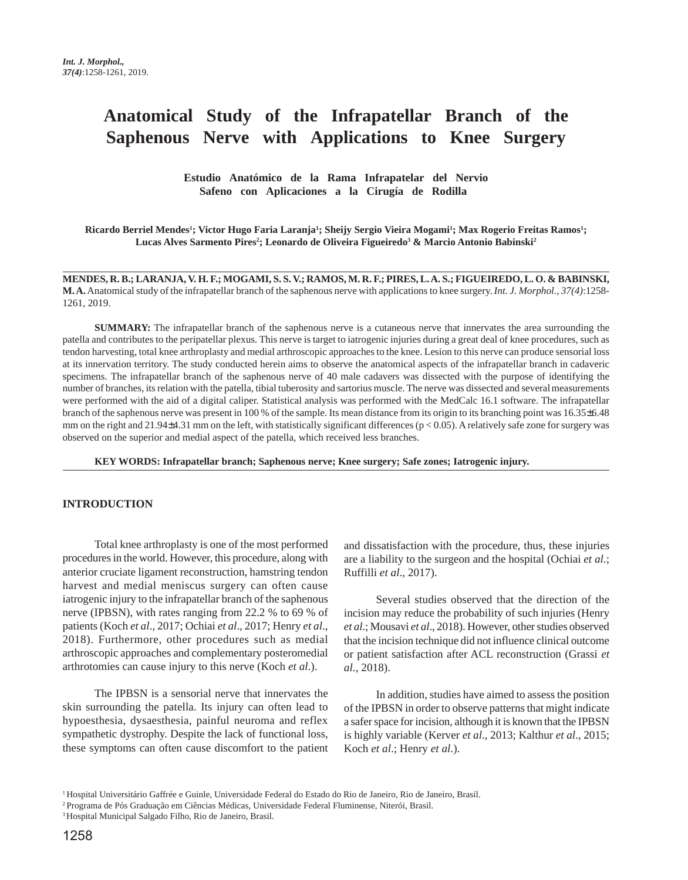# **Anatomical Study of the Infrapatellar Branch of the Saphenous Nerve with Applications to Knee Surgery**

 **Estudio Anatómico de la Rama Infrapatelar del Nervio Safeno con Aplicaciones a la Cirugía de Rodilla** 

**Ricardo Berriel Mendes1 ; Victor Hugo Faria Laranja1 ; Sheijy Sergio Vieira Mogami1 ; Max Rogerio Freitas Ramos1 ;**  $\bf{Lucas}$  Alves Sarmento Pires<sup>2</sup>; Leonardo de Oliveira Figueiredo<sup>3</sup> & Marcio Antonio Babinski<sup>2</sup>

**MENDES, R. B.; LARANJA, V. H. F.; MOGAMI, S. S. V.; RAMOS, M. R. F.; PIRES, L. A. S.; FIGUEIREDO, L. O. & BABINSKI, M. A.** Anatomical study of the infrapatellar branch of the saphenous nerve with applications to knee surgery. *Int. J. Morphol., 37(4)*:1258- 1261, 2019.

**SUMMARY:** The infrapatellar branch of the saphenous nerve is a cutaneous nerve that innervates the area surrounding the patella and contributes to the peripatellar plexus. This nerve is target to iatrogenic injuries during a great deal of knee procedures, such as tendon harvesting, total knee arthroplasty and medial arthroscopic approaches to the knee. Lesion to this nerve can produce sensorial loss at its innervation territory. The study conducted herein aims to observe the anatomical aspects of the infrapatellar branch in cadaveric specimens. The infrapatellar branch of the saphenous nerve of 40 male cadavers was dissected with the purpose of identifying the number of branches, its relation with the patella, tibial tuberosity and sartorius muscle. The nerve was dissected and several measurements were performed with the aid of a digital caliper. Statistical analysis was performed with the MedCalc 16.1 software. The infrapatellar branch of the saphenous nerve was present in 100 % of the sample. Its mean distance from its origin to its branching point was 16.35±6.48 mm on the right and  $21.94\pm4.31$  mm on the left, with statistically significant differences ( $p < 0.05$ ). A relatively safe zone for surgery was observed on the superior and medial aspect of the patella, which received less branches.

**KEY WORDS: Infrapatellar branch; Saphenous nerve; Knee surgery; Safe zones; Iatrogenic injury.**

#### **INTRODUCTION**

Total knee arthroplasty is one of the most performed procedures in the world. However, this procedure, along with anterior cruciate ligament reconstruction, hamstring tendon harvest and medial meniscus surgery can often cause iatrogenic injury to the infrapatellar branch of the saphenous nerve (IPBSN), with rates ranging from 22.2 % to 69 % of patients (Koch *et al*., 2017; Ochiai *et al*., 2017; Henry *et al*., 2018). Furthermore, other procedures such as medial arthroscopic approaches and complementary posteromedial arthrotomies can cause injury to this nerve (Koch *et al*.).

The IPBSN is a sensorial nerve that innervates the skin surrounding the patella. Its injury can often lead to hypoesthesia, dysaesthesia, painful neuroma and reflex sympathetic dystrophy. Despite the lack of functional loss, these symptoms can often cause discomfort to the patient and dissatisfaction with the procedure, thus, these injuries are a liability to the surgeon and the hospital (Ochiai *et al*.; Ruffilli *et al*., 2017).

Several studies observed that the direction of the incision may reduce the probability of such injuries (Henry *et al*.; Mousavi *et al*., 2018). However, other studies observed that the incision technique did not influence clinical outcome or patient satisfaction after ACL reconstruction (Grassi *et al*., 2018).

In addition, studies have aimed to assess the position of the IPBSN in order to observe patterns that might indicate a safer space for incision, although it is known that the IPBSN is highly variable (Kerver *et al*., 2013; Kalthur *et al*., 2015; Koch *et al*.; Henry *et al*.).

<sup>1</sup> Hospital Universitário Gaffrée e Guinle, Universidade Federal do Estado do Rio de Janeiro, Rio de Janeiro, Brasil.

<sup>2</sup> Programa de Pós Graduação em Ciências Médicas, Universidade Federal Fluminense, Niterói, Brasil.

<sup>3</sup> Hospital Municipal Salgado Filho, Rio de Janeiro, Brasil.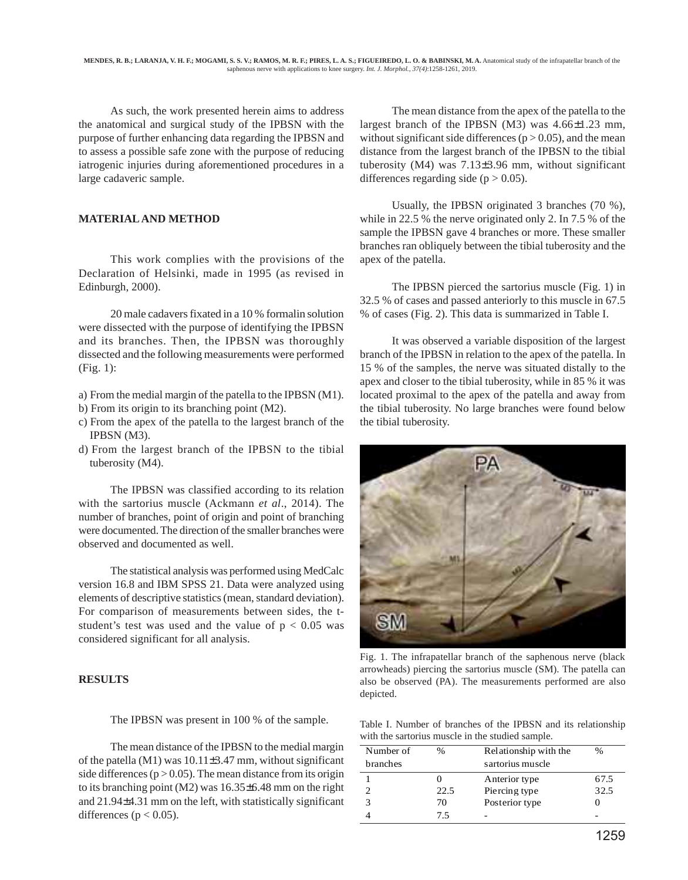As such, the work presented herein aims to address the anatomical and surgical study of the IPBSN with the purpose of further enhancing data regarding the IPBSN and to assess a possible safe zone with the purpose of reducing iatrogenic injuries during aforementioned procedures in a large cadaveric sample.

## **MATERIAL AND METHOD**

This work complies with the provisions of the Declaration of Helsinki, made in 1995 (as revised in Edinburgh, 2000).

20 male cadavers fixated in a 10 % formalin solution were dissected with the purpose of identifying the IPBSN and its branches. Then, the IPBSN was thoroughly dissected and the following measurements were performed (Fig. 1):

- a) From the medial margin of the patella to the IPBSN (M1).
- b) From its origin to its branching point (M2).
- c) From the apex of the patella to the largest branch of the IPBSN (M3).
- d) From the largest branch of the IPBSN to the tibial tuberosity (M4).

The IPBSN was classified according to its relation with the sartorius muscle (Ackmann *et al*., 2014). The number of branches, point of origin and point of branching were documented. The direction of the smaller branches were observed and documented as well.

The statistical analysis was performed using MedCalc version 16.8 and IBM SPSS 21. Data were analyzed using elements of descriptive statistics (mean, standard deviation). For comparison of measurements between sides, the tstudent's test was used and the value of  $p < 0.05$  was considered significant for all analysis.

## **RESULTS**

The IPBSN was present in 100 % of the sample.

The mean distance of the IPBSN to the medial margin of the patella (M1) was 10.11±3.47 mm, without significant side differences ( $p > 0.05$ ). The mean distance from its origin to its branching point (M2) was 16.35±6.48 mm on the right and 21.94±4.31 mm on the left, with statistically significant differences ( $p < 0.05$ ).

The mean distance from the apex of the patella to the largest branch of the IPBSN (M3) was 4.66±1.23 mm, without significant side differences ( $p > 0.05$ ), and the mean distance from the largest branch of the IPBSN to the tibial tuberosity (M4) was 7.13±3.96 mm, without significant differences regarding side  $(p > 0.05)$ .

Usually, the IPBSN originated 3 branches (70 %), while in 22.5 % the nerve originated only 2. In 7.5 % of the sample the IPBSN gave 4 branches or more. These smaller branches ran obliquely between the tibial tuberosity and the apex of the patella.

The IPBSN pierced the sartorius muscle (Fig. 1) in 32.5 % of cases and passed anteriorly to this muscle in 67.5 % of cases (Fig. 2). This data is summarized in Table I.

It was observed a variable disposition of the largest branch of the IPBSN in relation to the apex of the patella. In 15 % of the samples, the nerve was situated distally to the apex and closer to the tibial tuberosity, while in 85 % it was located proximal to the apex of the patella and away from the tibial tuberosity. No large branches were found below the tibial tuberosity.



Fig. 1. The infrapatellar branch of the saphenous nerve (black arrowheads) piercing the sartorius muscle (SM). The patella can also be observed (PA). The measurements performed are also depicted.

Table I. Number of branches of the IPBSN and its relationship with the sartorius muscle in the studied sample.

| Number of | $\frac{0}{0}$ | Relationship with the | %    |
|-----------|---------------|-----------------------|------|
| branches  |               | sartorius muscle      |      |
|           |               | Anterior type         | 67.5 |
|           | 22.5          | Piercing type         | 32.5 |
|           | 70            | Posterior type        |      |
|           | 75            | -                     | -    |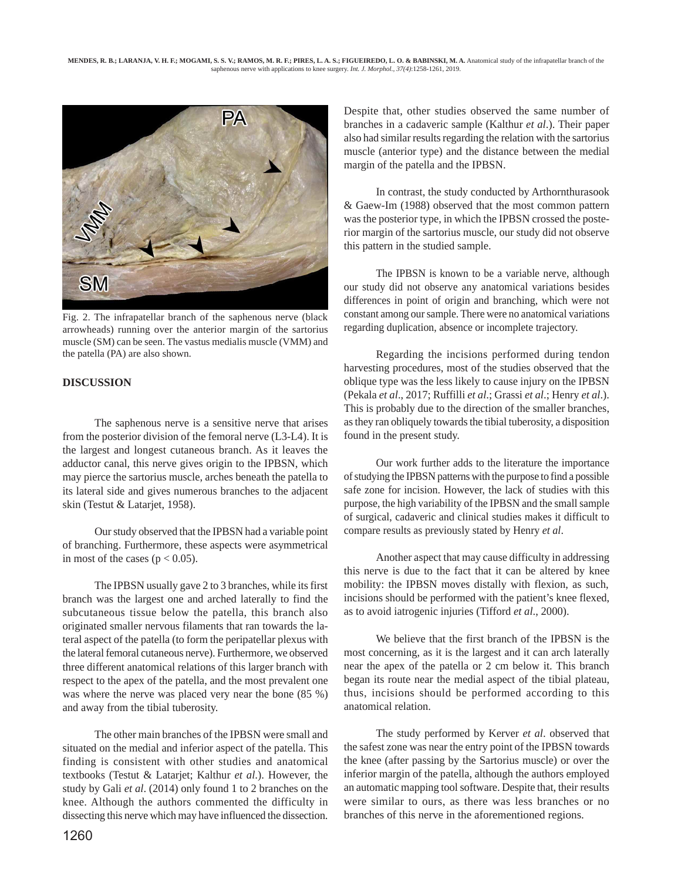

Fig. 2. The infrapatellar branch of the saphenous nerve (black arrowheads) running over the anterior margin of the sartorius muscle (SM) can be seen. The vastus medialis muscle (VMM) and the patella (PA) are also shown.

## **DISCUSSION**

The saphenous nerve is a sensitive nerve that arises from the posterior division of the femoral nerve (L3-L4). It is the largest and longest cutaneous branch. As it leaves the adductor canal, this nerve gives origin to the IPBSN, which may pierce the sartorius muscle, arches beneath the patella to its lateral side and gives numerous branches to the adjacent skin (Testut & Latarjet, 1958).

Our study observed that the IPBSN had a variable point of branching. Furthermore, these aspects were asymmetrical in most of the cases ( $p < 0.05$ ).

The IPBSN usually gave 2 to 3 branches, while its first branch was the largest one and arched laterally to find the subcutaneous tissue below the patella, this branch also originated smaller nervous filaments that ran towards the lateral aspect of the patella (to form the peripatellar plexus with the lateral femoral cutaneous nerve). Furthermore, we observed three different anatomical relations of this larger branch with respect to the apex of the patella, and the most prevalent one was where the nerve was placed very near the bone (85 %) and away from the tibial tuberosity.

The other main branches of the IPBSN were small and situated on the medial and inferior aspect of the patella. This finding is consistent with other studies and anatomical textbooks (Testut & Latarjet; Kalthur *et al*.). However, the study by Gali *et al*. (2014) only found 1 to 2 branches on the knee. Although the authors commented the difficulty in dissecting this nerve which may have influenced the dissection. Despite that, other studies observed the same number of branches in a cadaveric sample (Kalthur *et al*.). Their paper also had similar results regarding the relation with the sartorius muscle (anterior type) and the distance between the medial margin of the patella and the IPBSN.

In contrast, the study conducted by Arthornthurasook & Gaew-Im (1988) observed that the most common pattern was the posterior type, in which the IPBSN crossed the posterior margin of the sartorius muscle, our study did not observe this pattern in the studied sample.

The IPBSN is known to be a variable nerve, although our study did not observe any anatomical variations besides differences in point of origin and branching, which were not constant among our sample. There were no anatomical variations regarding duplication, absence or incomplete trajectory.

Regarding the incisions performed during tendon harvesting procedures, most of the studies observed that the oblique type was the less likely to cause injury on the IPBSN (Pekala *et al*., 2017; Ruffilli *et al*.; Grassi *et al*.; Henry *et al*.). This is probably due to the direction of the smaller branches, as they ran obliquely towards the tibial tuberosity, a disposition found in the present study.

Our work further adds to the literature the importance of studying the IPBSN patterns with the purpose to find a possible safe zone for incision. However, the lack of studies with this purpose, the high variability of the IPBSN and the small sample of surgical, cadaveric and clinical studies makes it difficult to compare results as previously stated by Henry *et al*.

Another aspect that may cause difficulty in addressing this nerve is due to the fact that it can be altered by knee mobility: the IPBSN moves distally with flexion, as such, incisions should be performed with the patient's knee flexed, as to avoid iatrogenic injuries (Tifford *et al*., 2000).

We believe that the first branch of the IPBSN is the most concerning, as it is the largest and it can arch laterally near the apex of the patella or 2 cm below it. This branch began its route near the medial aspect of the tibial plateau, thus, incisions should be performed according to this anatomical relation.

The study performed by Kerver *et al*. observed that the safest zone was near the entry point of the IPBSN towards the knee (after passing by the Sartorius muscle) or over the inferior margin of the patella, although the authors employed an automatic mapping tool software. Despite that, their results were similar to ours, as there was less branches or no branches of this nerve in the aforementioned regions.